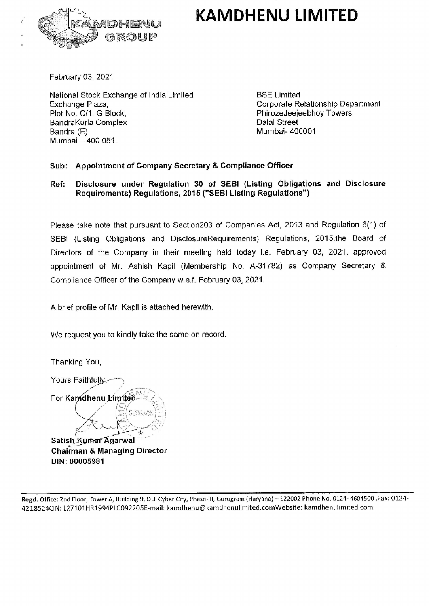## KAMDHENU LIMITED



February 03, 2021

National Stock Exchange of India Limited BSE Limited Exchange Plaza, Corporate Relationship Department Plot No. C/1, G Block, PhirozeJeejeebhoy Towers BandraKurla Complex **Dalal Street** Bandra (E) 88 (Bandra Company of Company of Company of Company of Company of Company of Company of Company of Company of Company of Company of Company of Company of Company of Company of Company of Company of Company of Co Mumbai — 400 051.

## Sub: Appointment of Company Secretary & Compliance Officer

## Ref: Disclosure under Regulation 30 of SEBI (Listing Obligations and Disclosure Requirements) Regulations, 2015 ("SEBI Listing Reguiations")

Please take note that pursuant to Section203 of Companies Act, 2013 and Regulation 6(1} of SEBI (Listing Obligations and DisclosureRequirements) Regulations, 2015,the Board of Directors of the Company in their meeting held today i.e. February 03, 2021, approved appointment of Mr. Ashish Kapil (Membership No. A-31782) as Company Secretary & Compliance Officer of the Company w.e.f. February 03, 2021. Exchange Plaza,<br>
Plot No. C/1, G Block,<br>
Bandra Kurla Complex<br>
Bandra (E)<br>
Mumbai – 400 051.<br>
Sub: Appointment of Company Secretary &<br>
Ref: Disclosure under Regulations, 2015 ("SE<br>
Please take note that pursuant to Section

A brief profile of Mr. Kapil is attached herewith.

We request you to kindly take the same on record.

Thanking You,

Yours Faithfully, Yours Faithfully,<br>For **Kan⁄dhenu Límít** 

a

mdher<br>A Satish Kumar Agarwal Chairman & Managing Director DIN: 00005981

. Office: 2nd Floor, Tov<br>524CIN: L27101HR19<br>-Regd. Office: 2nd Floor, Tower A, Building 9, DLF Cyber City, Phase-lll, Gurugram (Haryana) ~ 122002 Phone No. 0124- 4604500 ,Fax: 0124- 4218524CIN: L271G1HR1994PLC092205E-mail: kamdhenu@kamdhenulimited.comWebsite: kamchenulimited.com